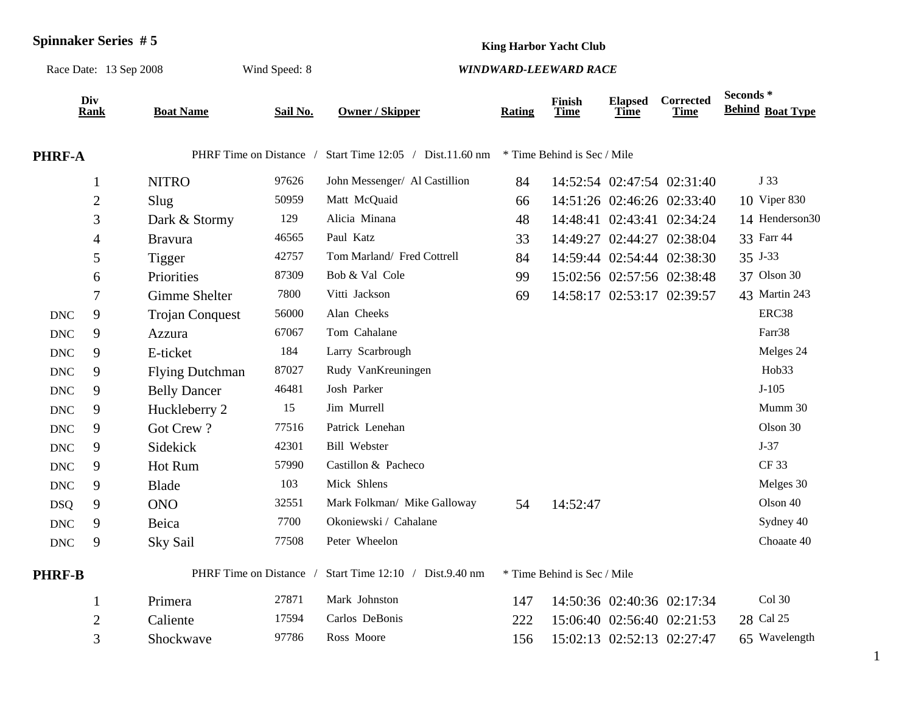| <b>Spinnaker Series #5</b> |                    |                         |               | <b>King Harbor Yacht Club</b>      |                             |                       |                               |                            |                                     |  |
|----------------------------|--------------------|-------------------------|---------------|------------------------------------|-----------------------------|-----------------------|-------------------------------|----------------------------|-------------------------------------|--|
| Race Date: 13 Sep 2008     |                    |                         | Wind Speed: 8 | <b>WINDWARD-LEEWARD RACE</b>       |                             |                       |                               |                            |                                     |  |
|                            | Div<br><b>Rank</b> | <b>Boat Name</b>        | Sail No.      | <b>Owner / Skipper</b>             | <b>Rating</b>               | Finish<br><b>Time</b> | <b>Elapsed</b><br><b>Time</b> | Corrected<br><b>Time</b>   | Seconds*<br><b>Behind Boat Type</b> |  |
| <b>PHRF-A</b>              |                    | PHRF Time on Distance / |               | Start Time $12:05$ / Dist.11.60 nm | * Time Behind is Sec / Mile |                       |                               |                            |                                     |  |
|                            | $\mathbf{1}$       | <b>NITRO</b>            | 97626         | John Messenger/ Al Castillion      | 84                          |                       |                               | 14:52:54 02:47:54 02:31:40 | J 33                                |  |
|                            | 2                  | Slug                    | 50959         | Matt McQuaid                       | 66                          |                       |                               | 14:51:26 02:46:26 02:33:40 | 10 Viper 830                        |  |
|                            | 3                  | Dark & Stormy           | 129           | Alicia Minana                      | 48                          |                       |                               | 14:48:41 02:43:41 02:34:24 | 14 Henderson30                      |  |
|                            | $\overline{4}$     | <b>Bravura</b>          | 46565         | Paul Katz                          | 33                          |                       |                               | 14:49:27 02:44:27 02:38:04 | 33 Farr 44                          |  |
|                            | 5                  | Tigger                  | 42757         | Tom Marland/ Fred Cottrell         | 84                          |                       |                               | 14:59:44 02:54:44 02:38:30 | 35 J-33                             |  |
|                            | 6                  | Priorities              | 87309         | Bob & Val Cole                     | 99                          |                       |                               | 15:02:56 02:57:56 02:38:48 | 37 Olson 30                         |  |
|                            | $\overline{7}$     | Gimme Shelter           | 7800          | Vitti Jackson                      | 69                          |                       |                               | 14:58:17 02:53:17 02:39:57 | 43 Martin 243                       |  |
| <b>DNC</b>                 | 9                  | <b>Trojan Conquest</b>  | 56000         | Alan Cheeks                        |                             |                       |                               |                            | ERC38                               |  |
| $\ensuremath{\text{DNC}}$  | 9                  | Azzura                  | 67067         | Tom Cahalane                       |                             |                       |                               |                            | Farr38                              |  |
| <b>DNC</b>                 | 9                  | E-ticket                | 184           | Larry Scarbrough                   |                             |                       |                               |                            | Melges 24                           |  |
| <b>DNC</b>                 | 9                  | <b>Flying Dutchman</b>  | 87027         | Rudy VanKreuningen                 |                             |                       |                               |                            | Hob33                               |  |
| $\ensuremath{\text{DNC}}$  | 9                  | <b>Belly Dancer</b>     | 46481         | Josh Parker                        |                             |                       |                               |                            | $J-105$                             |  |
| $\ensuremath{\text{DNC}}$  | 9                  | Huckleberry 2           | 15            | Jim Murrell                        |                             |                       |                               |                            | Mumm 30                             |  |
| <b>DNC</b>                 | 9                  | Got Crew?               | 77516         | Patrick Lenehan                    |                             |                       |                               |                            | Olson 30                            |  |
| <b>DNC</b>                 | 9                  | Sidekick                | 42301         | <b>Bill Webster</b>                |                             |                       |                               |                            | $J-37$                              |  |
| <b>DNC</b>                 | 9                  | Hot Rum                 | 57990         | Castillon & Pacheco                |                             |                       |                               |                            | <b>CF33</b>                         |  |
| <b>DNC</b>                 | 9                  | Blade                   | 103           | Mick Shlens                        |                             |                       |                               |                            | Melges 30                           |  |
| <b>DSQ</b>                 | 9                  | <b>ONO</b>              | 32551         | Mark Folkman/ Mike Galloway        | 54                          | 14:52:47              |                               |                            | Olson 40                            |  |
| <b>DNC</b>                 | 9                  | Beica                   | 7700          | Okoniewski / Cahalane              |                             |                       |                               |                            | Sydney 40                           |  |
| <b>DNC</b>                 | 9                  | Sky Sail                | 77508         | Peter Wheelon                      |                             |                       |                               |                            | Choaate 40                          |  |
| <b>PHRF-B</b>              |                    | PHRF Time on Distance   |               | Start Time 12:10 / Dist.9.40 nm    | * Time Behind is Sec / Mile |                       |                               |                            |                                     |  |
|                            | 1                  | Primera                 | 27871         | Mark Johnston                      | 147                         |                       |                               | 14:50:36 02:40:36 02:17:34 | Col 30                              |  |
|                            | $\mathbf{2}$       | Caliente                | 17594         | Carlos DeBonis                     | 222                         |                       |                               | 15:06:40 02:56:40 02:21:53 | 28 Cal 25                           |  |
|                            | 3                  | Shockwave               | 97786         | Ross Moore                         | 156                         |                       |                               | 15:02:13 02:52:13 02:27:47 | 65 Wavelength                       |  |